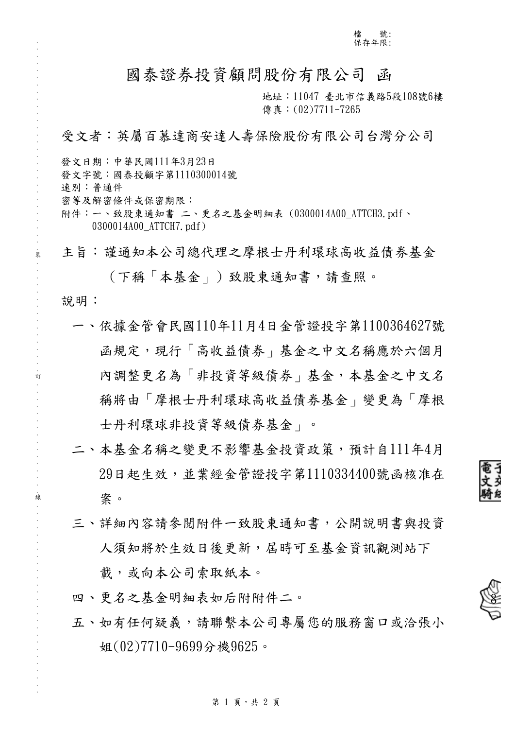# 國泰證券投資顧問股份有限公司 函

地址:11047 臺北市信義路5段108號6樓 傳真: (02)7711-7265

# 受文者:英屬百慕達商安達人壽保險股份有限公司台灣分公司

發文日期:中華民國111年3月23日

發文字號:國泰投顧字第1110300014號

速別:普通件

. . . . . . . . . . . . . . . . . . . . . . . . . . . . . . 裝 . . . . . . . . . . . . . . . . 訂 . . . . . . . . . . . . . . . . 線 . . . . . . . . . . . . . . . . . . . . . . . . . . .

密等及解密條件或保密期限:

附件:一、致股東通知書 二、更名之基金明細表 (0300014A00\_ATTCH3.pdf、 0300014A00\_ATTCH7.pdf)

主旨:謹通知本公司總代理之摩根士丹利環球高收益債券基金

# (下稱「本基金」)致股東通知書,請查照。

說明:

- 一、依據金管會民國110年11月4日金管證投字第1100364627號 函規定,現行「高收益債券」基金之中文名稱應於六個月 內調整更名為「非投資等級債券」基金,本基金之中文名 稱將由「摩根士丹利環球高收益債券基金」變更為「摩根 士丹利環球非投資等級債券基金」。
- 二、本基金名稱之變更不影響基金投資政策,預計自111年4月 29日起生效,並業經金管證投字第1110334400號函核准在 案。
- 三、詳細內容請參閱附件一致股東通知書,公開說明書與投資 人須知將於生效日後更新,屆時可至基金資訊觀測站下 載,或向本公司索取紙本。

四、更名之基金明細表如后附附件二。

五、如有任何疑義,請聯繫本公司專屬您的服務窗口或洽張小 姐(02)7710-9699分機9625。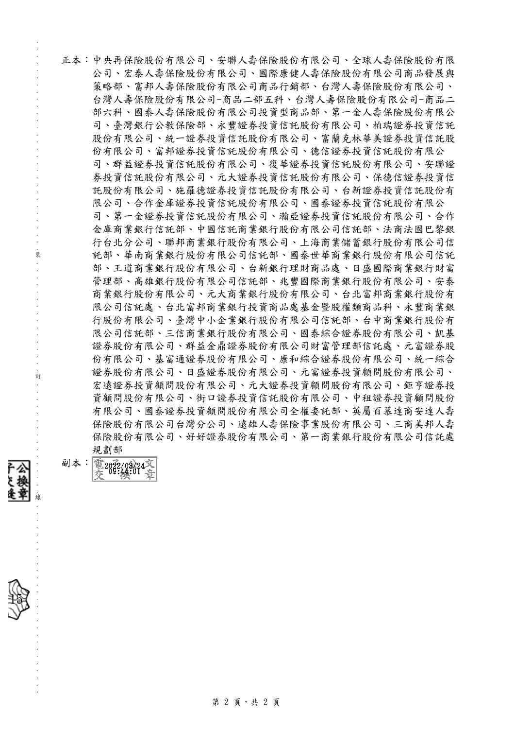正本:中央再保險股份有限公司、安聯人壽保險股份有限公司、全球人壽保險股份有限 公司、宏泰人壽保險股份有限公司、國際康健人壽保險股份有限公司商品發展與 策略部、富邦人壽保險股份有限公司商品行銷部、台灣人壽保險股份有限公司、 台灣人壽保險股份有限公司-商品二部五科、台灣人壽保險股份有限公司-商品二 部六科、國泰人壽保險股份有限公司投資型商品部、第一金人壽保險股份有限公 司、臺灣銀行公教保險部、永豐證券投資信託股份有限公司、柏瑞證券投資信託 股份有限公司、統一證券投資信託股份有限公司、富蘭克林華美證券投資信託股 份有限公司、富邦證券投資信託股份有限公司、德信證券投資信託股份有限公 司、群益證券投資信託股份有限公司、復華證券投資信託股份有限公司、安聯證 券投資信託股份有限公司、元大證券投資信託股份有限公司、保德信證券投資信 託股份有限公司、施羅德證券投資信託股份有限公司、台新證券投資信託股份有 限公司、合作金庫證券投資信託股份有限公司、國泰證券投資信託股份有限公 司、第一金證券投資信託股份有限公司、瀚亞證券投資信託股份有限公司、合作 金庫商業銀行信託部、中國信託商業銀行股份有限公司信託部、法商法國巴黎銀 行台北分公司、聯邦商業銀行股份有限公司、上海商業儲蓄銀行股份有限公司信 託部、華南商業銀行股份有限公司信託部、國泰世華商業銀行股份有限公司信託 部、王道商業銀行股份有限公司、台新銀行理財商品處、日盛國際商業銀行財富 管理部、高雄銀行股份有限公司信託部、兆豐國際商業銀行股份有限公司、安泰 商業銀行股份有限公司、元大商業銀行股份有限公司、台北富邦商業銀行股份有 限公司信託處、台北富邦商業銀行投資商品處基金暨股權類商品科、永豐商業銀 行股份有限公司、臺灣中小企業銀行股份有限公司信託部、台中商業銀行股份有 限公司信託部、三信商業銀行股份有限公司、國泰綜合證券股份有限公司、凱基 證券股份有限公司、群益金鼎證券股份有限公司財富管理部信託處、元富證券股 份有限公司、基富通證券股份有限公司、康和綜合證券股份有限公司、統一綜合 證券股份有限公司、日盛證券股份有限公司、元富證券投資顧問股份有限公司、 宏遠證券投資顧問股份有限公司、元大證券投資顧問股份有限公司、鉅亨證券投 資顧問股份有限公司、街口證券投資信託股份有限公司、中租證券投資顧問股份 有限公司、國泰證券投資顧問股份有限公司全權委託部、英屬百慕達商安達人壽 保險股份有限公司台灣分公司、遠雄人壽保險事業股份有限公司、三商美邦人壽 保險股份有限公司、好好證券股份有限公司、第一商業銀行股份有限公司信託處 規劃部

副本: 電2032/03/24



. . . . . . . . . . . . . . . . . . . . . . . . .

. . . . . . . . . . . . . . . . . . . . . . . . . . . . . . 裝 . . . . . . . . . . . . . . . . 訂 . . . . . . . . . .

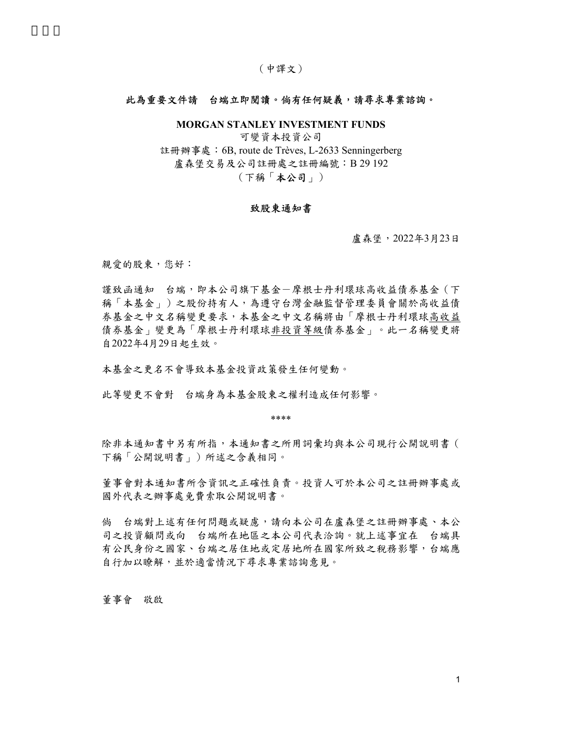## (中譯文)

#### 此為重要文件請 台端立即閱讀。倘有任何疑義,請尋求專業諮詢。

MORGAN STANLEY INVESTMENT FUNDS

可變資本投資公司 註冊辦事處:6B, route de Trèves, L-2633 Senningerberg 盧森堡交易及公司註冊處之註冊編號:B 29 192 (下稱「本公司」)

### 致股東通知書

盧森堡,2022年3月23日

親愛的股東,您好:

謹致函通知 台端,即本公司旗下基金-摩根士丹利環球高收益債券基金(下 稱「本基金」)之股份持有人,為遵守台灣金融監督管理委員會關於高收益債 券基金之中文名稱變更要求,本基金之中文名稱將由「摩根士丹利環球高收益 債券基金」變更為「摩根士丹利環球非投資等級債券基金」。此一名稱變更將 自2022年4月29日起生效。

本基金之更名不會導致本基金投資政策發生任何變動。

此等變更不會對 台端身為本基金股東之權利造成任何影響。

\*\*\*\*

除非本通知書中另有所指,本通知書之所用詞彙均與本公司現行公開說明書( 下稱「公開說明書」)所述之含義相同。

董事會對本通知書所含資訊之正確性負責。投資人可於本公司之註冊辦事處或 國外代表之辦事處免費索取公開說明書。

倘 台端對上述有任何問題或疑慮,請向本公司在盧森堡之註冊辦事處、本公 司之投資顧問或向 台端所在地區之本公司代表洽詢。就上述事宜在 台端具 有公民身份之國家、台端之居住地或定居地所在國家所致之稅務影響,台端應 自行加以瞭解,並於適當情況下尋求專業諮詢意見。

董事會 敬啟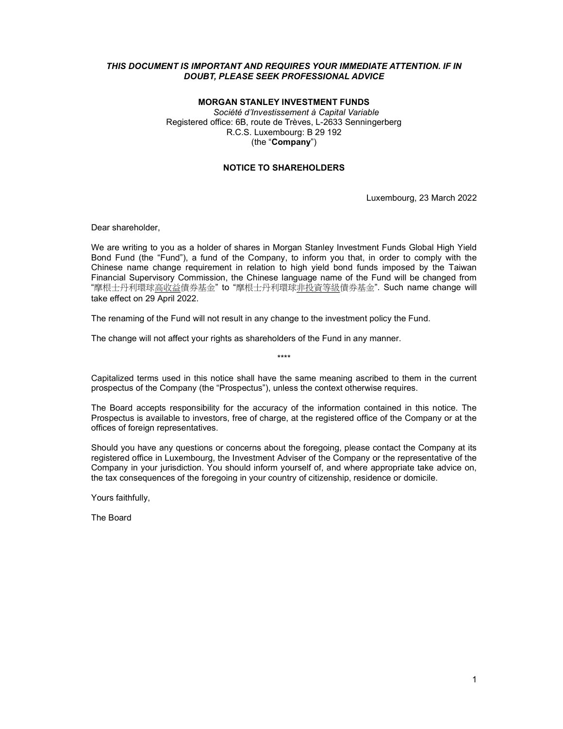# THIS DOCUMENT IS IMPORTANT AND REQUIRES YOUR IMMEDIATE ATTENTION. IF IN DOUBT, PLEASE SEEK PROFESSIONAL ADVICE

# MORGAN STANLEY INVESTMENT FUNDS

Société d'Investissement à Capital Variable Registered office: 6B, route de Trèves, L-2633 Senningerberg R.C.S. Luxembourg: B 29 192 (the "Company")

#### NOTICE TO SHAREHOLDERS

Luxembourg, 23 March 2022

Dear shareholder,

We are writing to you as a holder of shares in Morgan Stanley Investment Funds Global High Yield Bond Fund (the "Fund"), a fund of the Company, to inform you that, in order to comply with the Chinese name change requirement in relation to high yield bond funds imposed by the Taiwan Financial Supervisory Commission, the Chinese language name of the Fund will be changed from "摩根士丹利環球高收益債券基金" to "摩根士丹利環球非投資等級債券基金". Such name change will take effect on 29 April 2022.

The renaming of the Fund will not result in any change to the investment policy the Fund.

The change will not affect your rights as shareholders of the Fund in any manner.

Capitalized terms used in this notice shall have the same meaning ascribed to them in the current prospectus of the Company (the "Prospectus"), unless the context otherwise requires.

\*\*\*\*

The Board accepts responsibility for the accuracy of the information contained in this notice. The Prospectus is available to investors, free of charge, at the registered office of the Company or at the offices of foreign representatives.

Should you have any questions or concerns about the foregoing, please contact the Company at its registered office in Luxembourg, the Investment Adviser of the Company or the representative of the Company in your jurisdiction. You should inform yourself of, and where appropriate take advice on, the tax consequences of the foregoing in your country of citizenship, residence or domicile.

Yours faithfully,

The Board